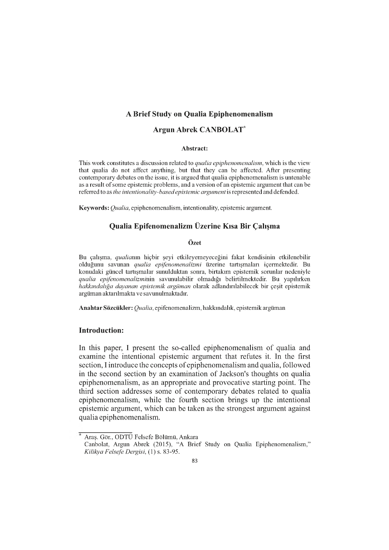# A Brief Study on Qualia Epiphenomenalism

## Argun Abrek CANBOLAT\*

#### Abstract:

This work constitutes a discussion related to *qualia epiphenomenalism,* which is the view that qualia do not affect anything, but that they can be affected. After presenting contemporary debates on the issue, it is argued that qualia epiphenomenalism is untenable as a result of some epistemic problems, and a version of an epistemic argument that can be referred to as *the intentionality-basedepistemic argument* is represented and defended.

Keywords: *Qualia,* epiphenomenalism, intentionality, epistemic argument.

# Qualia Epifenomenalizm Üzerine Kısa Bir Çalışma

## Özet

Bu çalışma, *qualianın* hiçbir şeyi etkileyemeyeceğini fakat kendisinin etkilenebilir olduğunu savunan *qualia epifenomenalizmi* üzerine tartışmaları içermektedir. Bu konudaki güncel tartışmalar sunulduktan sonra, birtakım epistemik sorunlar nedeniyle *qualia epifenomenalizmi*nin savunulabilir olmadığı belirtilmektedir. Bu yapılırken *hakkındalığa dayanan epistemik argüman* olarak adlandırılabilecek bir çeşit epistemik argüman aktarılmakta ve savunulmaktadır.

Anahtar Sözcükler: *Qualia,* epifenomenalizm, hakkındalık, epistemik argüman

#### Introduction:

In this paper, I present the so-called epiphenomenalism of qualia and examine the intentional epistemic argument that refutes it. In the first section, I introduce the concepts of epiphenomenalism and qualia, followed in the second section by an examination of Jackson's thoughts on qualia epiphenomenalism, as an appropriate and provocative starting point. The third section addresses some of contemporary debates related to qualia epiphenomenalism, while the fourth section brings up the intentional epistemic argument, which can be taken as the strongest argument against qualia epiphenomenalism.

Araş. Gör., ODTÜ Felsefe Bölümü, Ankara

Canbolat, Argun Abrek (2015), "A Brief Study on Qualia Epiphenomenalism," *Kilikya Felsefe Dergisi,* (1) s. 83-95.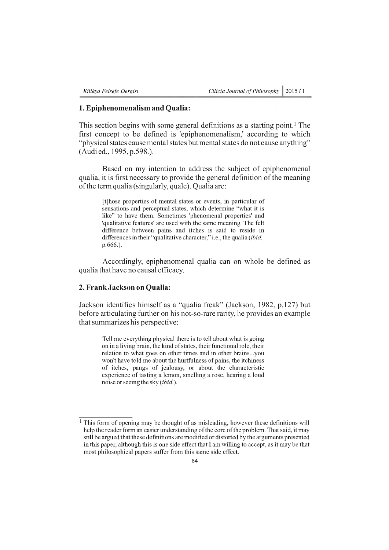## 1. Epiphenomenalism and Qualia:

This section begins with some general definitions as a starting point.<sup>1</sup> The first concept to be defined is 'epiphenomenalism,' according to which "physical states cause mental states but mental states do not cause anything" (Audi ed., 1995, p.598.).

Based on my intention to address the subject of epiphenomenal qualia, it is first necessary to provide the general definition of the meaning of the term qualia (singularly, quale). Qualia are:

[t]hose properties of mental states or events, in particular of sensations and perceptual states, which determine "what it is like" to have them. Sometimes 'phenomenal properties' and 'qualitative features' are used with the same meaning. The felt difference between pains and itches is said to reside in differences in their "qualitative character," i.e., the qualia *(ibid.,* p.666.).

Accordingly, epiphenomenal qualia can on whole be defined as qualia that have no causal efficacy.

## 2. Frank Jackson on Qualia:

Jackson identifies himself as a "qualia freak" (Jackson, 1982, p.127) but before articulating further on his not-so-rare rarity, he provides an example that summarizes his perspective:

Tell me everything physical there is to tell about what is going on in a living brain, the kind of states, their functional role, their relation to what goes on other times and in other brains...you won't have told me about the hurtfulness of pains, the itchiness of itches, pangs of jealousy, or about the characteristic experience of tasting a lemon, smelling a rose, hearing a loud noise or seeing the sky *(ibid.).*

 $<sup>1</sup>$  This form of opening may be thought of as misleading, however these definitions will</sup> help the reader form an easier understanding of the core of the problem. That said, it may still be argued that these definitions are modified or distorted by the arguments presented in this paper, although this is one side effect that I am willing to accept, as it may be that most philosophical papers suffer from this same side effect.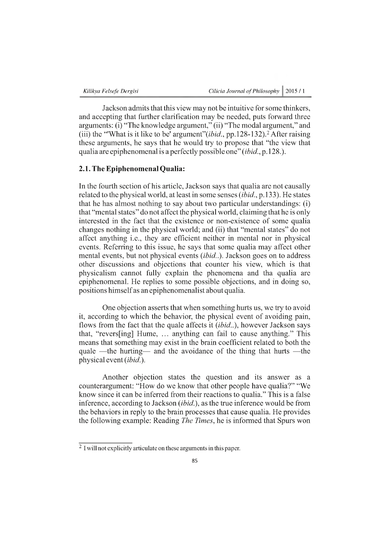Jackson admits that this view may not be intuitive for some thinkers, and accepting that further clarification may be needed, puts forward three arguments: (i) "The knowledge argument," (ii) "The modal argument," and (iii) the "What is it like to be' argument" (*ibid.*, pp. 128-132).<sup>2</sup> After raising these arguments, he says that he would try to propose that "the view that qualia are epiphenomenal is a perfectly possible one" *(ibid.,* p.128.).

# 2.1. The Epiphenomenal Oualia:

In the fourth section of his article, Jackson says that qualia are not causally related to the physical world, at least in some senses *(ibid.,* p.133). He states that he has almost nothing to say about two particular understandings: (i) that "mental states" do not affect the physical world, claiming that he is only interested in the fact that the existence or non-existence of some qualia changes nothing in the physical world; and (ii) that "mental states" do not affect anything i.e., they are efficient neither in mental nor in physical events. Referring to this issue, he says that some qualia may affect other mental events, but not physical events *(ibid..).* Jackson goes on to address other discussions and objections that counter his view, which is that physicalism cannot fully explain the phenomena and tha qualia are epiphenomenal. He replies to some possible objections, and in doing so, positions himself as an epiphenomenalist about qualia.

One objection asserts that when something hurts us, we try to avoid it, according to which the behavior, the physical event of avoiding pain, flows from the fact that the quale affects it (ibid..), however Jackson says that, "reversing] Hume, ... anything can fail to cause anything." This means that something may exist in the brain coefficient related to both the quale —the hurting— and the avoidance of the thing that hurts —the physical event *(ibid.).*

Another objection states the question and its answer as a counterargument: "How do we know that other people have qualia?" "We know since it can be inferred from their reactions to qualia." This is a false inference, according to Jackson *(ibid.),* as the true inference would be from the behaviors in reply to the brain processes that cause qualia. He provides the following example: Reading *The Times,* he is informed that Spurs won

<sup>&</sup>lt;sup>2</sup> I will not explicitly articulate on these arguments in this paper.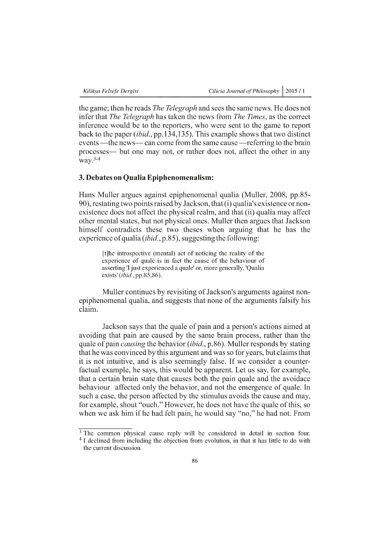the game; then he reads *The Telegraph* and sees the same news. He does not infer that *The Telegraph* has taken the news from *The Times,* as the correct inference would be to the reporters, who were sent to the game to report back to the paper *(ibid.,* pp.134,135). This example shows that two distinct events —the news— can come from the same cause —referring to the brain processes— but one may not, or rather does not, affect the other in any  $\text{wav.}^{3-4}$ 

# 3. Debates on Qualia Epiphenomenalism:

Hans Muller argues against epiphenomenal qualia (Muller, 2008, pp.85 90), restating two points raised by Jackson, that (i) qualia's existence or nonexistence does not affect the physical realm, and that (ii) qualia may affect other mental states, but not physical ones. Muller then argues that Jackson himself contradicts these two theses when arguing that he has the experience of qualia *(ibid.,* p.85), suggesting the following:

[t]he introspective (mental) act of noticing the reality of the experience of quale is in fact the cause of the behaviour of asserting 'I just experienced a quale' or, more generally, 'Qualia exists' *(ibid.,* pp.85,86).

Muller continues by revisiting of Jackson's arguments against nonepiphenomenal qualia, and suggests that none of the arguments falsify his claim.

Jackson says that the quale of pain and a person's actions aimed at avoiding that pain are caused by the same brain process, rather than the quale of pain *causing* the behavior *(ibid.,* p.86). Muller responds by stating that he was convinced by this argument and was so for years, but claims that it is not intuitive, and is also seemingly false. If we consider a counterfactual example, he says, this would be apparent. Let us say, for example, that a certain brain state that causes both the pain quale and the avoidace behaviour affected only the behavior, and not the emergence of quale. In such a case, the person affected by the stimulus avoids the cause and may, for example, shout "ouch." However, he does not have the quale of this, so when we ask him if he had felt pain, he would say "no," he had not. From

 $\frac{3}{3}$  The common physical cause reply will be considered in detail in section four. <sup>4</sup> I declined from including the objection from evolution, in that it has little to do with

the current discussion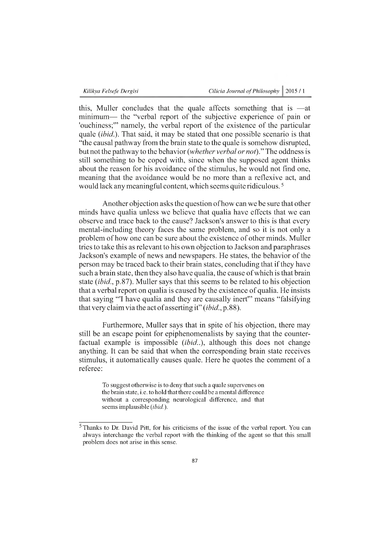this, Muller concludes that the quale affects something that is — at minimum— the "verbal report of the subjective experience of pain or 'ouchiness;'" namely, the verbal report of the existence of the particular quale *(ibid.).* That said, it may be stated that one possible scenario is that "the causal pathway from the brain state to the quale is somehow disrupted, but not the pathway to the behavior *(w hether verbal or not)."* The oddness is still something to be coped with, since when the supposed agent thinks about the reason for his avoidance of the stimulus, he would not find one, meaning that the avoidance would be no more than a reflexive act, and would lack any meaningful content, which seems quite ridiculous. 5

Another objection asks the question of how can we be sure that other minds have qualia unless we believe that qualia have effects that we can observe and trace back to the cause? Jackson's answer to this is that every mental-including theory faces the same problem, and so it is not only a problem of how one can be sure about the existence of other minds. Muller tries to take this as relevant to his own objection to Jackson and paraphrases Jackson's example of news and newspapers. He states, the behavior of the person may be traced back to their brain states, concluding that if they have such a brain state, then they also have qualia, the cause of which is that brain state *(ibid.,* p.87). Muller says that this seems to be related to his objection that a verbal report on qualia is caused by the existence of qualia. He insists that saying "'I have qualia and they are causally inert'" means "falsifying that very claim via the act of asserting it" *(ibid.,* p.88).

Furthermore, Muller says that in spite of his objection, there may still be an escape point for epiphenomenalists by saying that the counterfactual example is impossible *(ibid..),* although this does not change anything. It can be said that when the corresponding brain state receives stimulus, it automatically causes quale. Here he quotes the comment of a referee:

To suggest otherwise is to deny that such a quale supervenes on the brain state, i.e. to hold that there could be a mental difference without a corresponding neurological difference, and that seems implausible (*ibid.*).

 $<sup>5</sup>$  Thanks to Dr. David Pitt, for his criticisms of the issue of the verbal report. You can</sup> always interchange the verbal report with the thinking of the agent so that this small problem does not arise in this sense.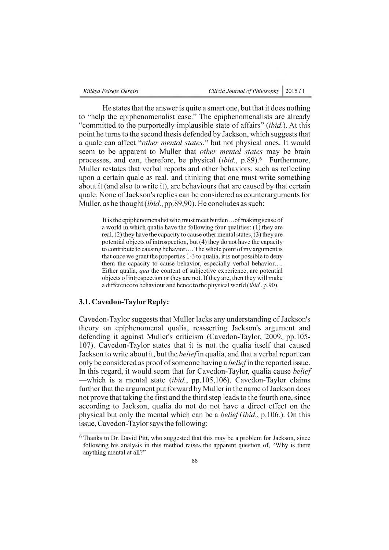|  | Kilikya Felsefe Dergisi |
|--|-------------------------|
|  |                         |

He states that the answer is quite a smart one, but that it does nothing to "help the epiphenomenalist case." The epiphenomenalists are already "committed to the purportedly implausible state of affairs" (ibid.). At this point he turns to the second thesis defended by Jackson, which suggests that a quale can affect *"other mental states*," but not physical ones. It would seem to be apparent to Muller that *other mental states* may be brain processes, and can, therefore, be physical *(ibid.,* p.89).6 Furthermore, Muller restates that verbal reports and other behaviors, such as reflecting upon a certain quale as real, and thinking that one must write something about it (and also to write it), are behaviours that are caused by that certain quale. None of Jackson's replies can be considered as counterarguments for Muller, as he thought *(ibid.,* pp.89,90). He concludes as such:

It is the epiphenomenalist who must meet burden.. .of making sense of a world in which qualia have the following four qualities: (1) they are real, (2) they have the capacity to cause other mental states, (3) they are potential objects of introspection, but (4) they do not have the capacity to contribute to causing behavior.... The whole point of my argument is that once we grant the properties 1-3 to qualia, it is not possible to deny them the capacity to cause behavior, especially verbal behavior.... Either qualia, *qua* the content of subjective experience, are potential objects of introspection or they are not. If they are, then they will make a difference to behaviour and hence to the physical world *(ibid.,* p.90).

### 3.1. Cavedon-Taylor Reply:

Cavedon-Taylor suggests that Muller lacks any understanding of Jackson's theory on epiphenomenal qualia, reasserting Jackson's argument and defending it against Muller's criticism (Cavedon-Taylor, 2009, pp.105 107). Cavedon-Taylor states that it is not the qualia itself that caused Jackson to write about it, but the *belief* in qualia, and that a verbal report can only be considered as proof of someone having a *belief*in the reported issue. In this regard, it would seem that for Cavedon-Taylor, qualia cause *belief* —which is a mental state *(ibid.,* pp.105,106). Cavedon-Taylor claims further that the argument put forward by Muller in the name of Jackson does not prove that taking the first and the third step leads to the fourth one, since according to Jackson, qualia do not do not have a direct effect on the physical but only the mental which can be a *belief (ibid.,* p.106.). On this issue, Cavedon-Taylor says the following:

<sup>6</sup> Thanks to Dr. David Pitt, who suggested that this may be a problem for Jackson, since following his analysis in this method raises the apparent question of, "Why is there anything mental at all?"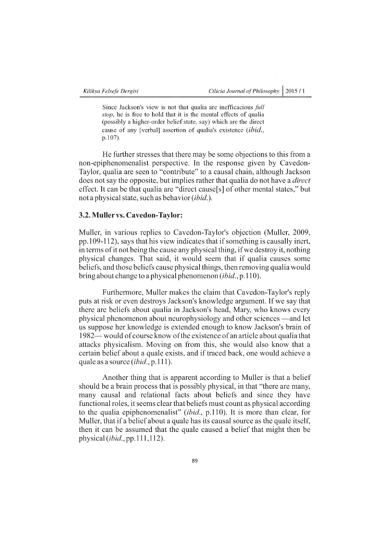Since Jackson's view is not that qualia are inefficacious *full stop,* he is free to hold that it is the mental effects of qualia (possibly a higher-order belief state, say) which are the direct cause of any [verbal] assertion of qualia's existence *(ibid.,* p.107).

He further stresses that there may be some objections to this from a non-epiphenomenalist perspective. In the response given by Cavedon-Taylor, qualia are seen to "contribute" to a causal chain, although Jackson does not say the opposite, but implies rather that qualia do not have a *direct* effect. It can be that qualia are "direct cause[s] of other mental states," but not a physical state, such as behavior (ibid.).

# 3.2. Muller vs. Cavedon-Taylor:

Muller, in various replies to Cavedon-Taylor's objection (Muller, 2009, pp.109-112), says that his view indicates that if something is causally inert, in terms of it not being the cause any physical thing, if we destroy it, nothing physical changes. That said, it would seem that if qualia causes some beliefs, and those beliefs cause physical things, then removing qualia would bring about change to a physical phenomenon *(ibid.,* p.110).

Furthermore, Muller makes the claim that Cavedon-Taylor's reply puts at risk or even destroys Jackson's knowledge argument. If we say that there are beliefs about qualia in Jackson's head, Mary, who knows every physical phenomenon about neurophysiology and other sciences — and let us suppose her knowledge is extended enough to know Jackson's brain of 1982— would of course know of the existence of an article about qualia that attacks physicalism. Moving on from this, she would also know that a certain belief about a quale exists, and if traced back, one would achieve a quale as a source *(ibid.,* p.111).

Another thing that is apparent according to Muller is that a belief should be a brain process that is possibly physical, in that "there are many, many causal and relational facts about beliefs and since they have functional roles, it seems clear that beliefs must count as physical according to the qualia epiphenomenalist" *(ibid.,* p.110). It is more than clear, for Muller, that if a belief about a quale has its causal source as the quale itself, then it can be assumed that the quale caused a belief that might then be physical *(ibid.,* pp.111,112).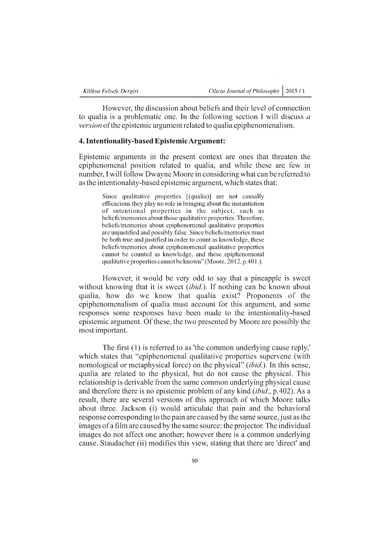| Kilikya Felsefe Dergisi | Cilicia Journal of Philosophy 2015 / 1 |  |
|-------------------------|----------------------------------------|--|
|-------------------------|----------------------------------------|--|

However, the discussion about beliefs and their level of connection to qualia is a problematic one. In the following section I will discuss *a version* of the epistemic argument related to qualia epiphenomenalism.

## 4. Intentionality-based Epistemic Argument:

Epistemic arguments in the present context are ones that threaten the epiphenomenal position related to qualia, and while these are few in number, I will follow Dwayne Moore in considering what can be referred to as the intentionality-based epistemic argument, which states that:

Since qualitative properties [(qualia)] are not causally efficacious they play no role in bringing about the instantiation of intentional properties in the subject, such as beliefs/memories about those qualitative properties. Therefore, beliefs/memories about epiphenomenal qualitative properties are unjustified and possibly false. Since beliefs/memories must be both true and justified in order to count as knowledge, these beliefs/memories about epiphenomenal qualitative properties cannot be counted as knowledge, and these epiphenomenal qualitative properties cannot be known" (Moore, 2012, p.401.).

However, it would be very odd to say that a pineapple is sweet without knowing that it is sweet *(ibid.).* If nothing can be known about qualia, how do we know that qualia exist? Proponents of the epiphenomenalism of qualia must account for this argument, and some responses some responses have been made to the intentionality-based epistemic argument. Of these, the two presented by Moore are possibly the most important.

The first (1) is referred to as 'the common underlying cause reply,' which states that "epiphenomenal qualitative properties supervene (with nomological or metaphysical force) on the physical" *(ibid.).* In this sense, qualia are related to the physical, but do not cause the physical. This relationship is derivable from the same common underlying physical cause and therefore there is no epistemic problem of any kind *(ibid.,* p.402). As a result, there are several versions of this approach of which Moore talks about three. Jackson (i) would articulate that pain and the behavioral response corresponding to the pain are caused by the same source, just as the images of a film are caused by the same source: the projector. The individual images do not affect one another; however there is a common underlying cause. Staudacher (ii) modifies this view, stating that there are 'direct' and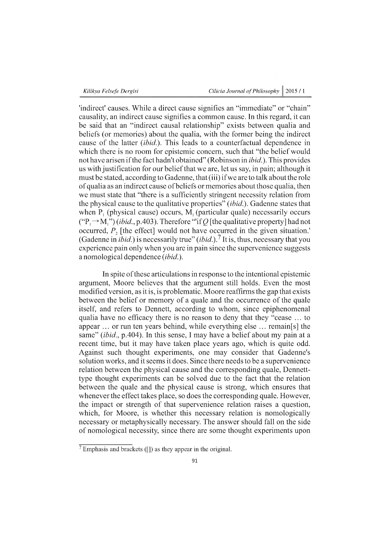'indirect' causes. While a direct cause signifies an "immediate" or "chain" causality, an indirect cause signifies a common cause. In this regard, it can be said that an "indirect causal relationship" exists between qualia and beliefs (or memories) about the qualia, with the former being the indirect cause of the latter *(ibid.).* This leads to a counterfactual dependence in which there is no room for epistemic concern, such that "the belief would not have arisen if the fact hadn't obtained" (Robinson in *ibid.).* This provides us with justification for our belief that we are, let us say, in pain; although it must be stated, according to Gadenne, that (iii) if we are to talk about the role of qualia as an indirect cause of beliefs or memories about those qualia, then we must state that "there is a sufficiently stringent necessity relation from the physical cause to the qualitative properties" *(ibid.).* Gadenne states that when  $P_1$  (physical cause) occurs,  $M_1$  (particular quale) necessarily occurs  $({\rm "P}_{1} \rightarrow {\rm M}_{1} \rm")$  *(ibid., p.403).* Therefore "'if *Q* [the qualitative property] had not occurred,  $P<sub>2</sub>$  [the effect] would not have occurred in the given situation.' (Gadenne in *ibid.)* is necessarily true" (*ibid*.).7 It is, thus, necessary that you experience pain only when you are in pain since the supervenience suggests a nomological dependence *(ibid.).*

In spite of these articulations in response to the intentional epistemic argument, Moore believes that the argument still holds. Even the most modified version, as it is, is problematic. Moore reaffirms the gap that exists between the belief or memory of a quale and the occurrence of the quale itself, and refers to Dennett, according to whom, since epiphenomenal qualia have no efficacy there is no reason to deny that they "cease ... to appear ... or run ten years behind, while everything else ... remain[s] the same" *(ibid.,* p.404). In this sense, I may have a belief about my pain at a recent time, but it may have taken place years ago, which is quite odd. Against such thought experiments, one may consider that Gadenne's solution works, and it seems it does. Since there needs to be a supervenience relation between the physical cause and the corresponding quale, Dennetttype thought experiments can be solved due to the fact that the relation between the quale and the physical cause is strong, which ensures that whenever the effect takes place, so does the corresponding quale. However, the impact or strength of that supervenience relation raises a question, which, for Moore, is whether this necessary relation is nomologically necessary or metaphysically necessary. The answer should fall on the side of nomological necessity, since there are some thought experiments upon

 $\sqrt{7}$  Emphasis and brackets ([1]) as they appear in the original.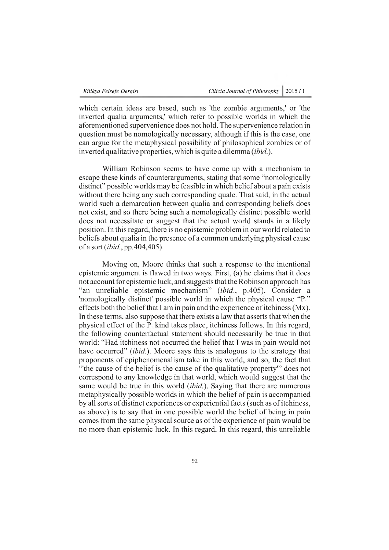which certain ideas are based, such as 'the zombie arguments,' or 'the inverted qualia arguments,' which refer to possible worlds in which the aforementioned supervenience does not hold. The supervenience relation in question must be nomologically necessary, although if this is the case, one can argue for the metaphysical possibility of philosophical zombies or of inverted qualitative properties, which is quite a dilemma *(ibid.).*

William Robinson seems to have come up with a mechanism to escape these kinds of counterarguments, stating that some "nomologically distinct" possible worlds may be feasible in which belief about a pain exists without there being any such corresponding quale. That said, in the actual world such a demarcation between qualia and corresponding beliefs does not exist, and so there being such a nomologically distinct possible world does not necessitate or suggest that the actual world stands in a likely position. In this regard, there is no epistemic problem in our world related to beliefs about qualia in the presence of a common underlying physical cause of a sort *(ibid.,* pp.404,405).

Moving on, Moore thinks that such a response to the intentional epistemic argument is flawed in two ways. First, (a) he claims that it does not account for epistemic luck, and suggests that the Robinson approach has "an unreliable epistemic mechanism" (ibid., p.405). Consider a 'nomologically distinct' possible world in which the physical cause  $P''$ effects both the belief that I am in pain and the experience of itchiness (Mx). In these terms, also suppose that there exists a law that asserts that when the physical effect of the  $P_i$  kind takes place, itchiness follows. In this regard, the following counterfactual statement should necessarily be true in that world: "Had itchiness not occurred the belief that I was in pain would not have occurred" *(ibid.)*. Moore says this is analogous to the strategy that proponents of epiphenomenalism take in this world, and so, the fact that "'the cause of the belief is the cause of the qualitative property'" does not correspond to any knowledge in that world, which would suggest that the same would be true in this world *(ibid.)*. Saying that there are numerous metaphysically possible worlds in which the belief of pain is accompanied by all sorts of distinct experiences or experiential facts (such as of itchiness, as above) is to say that in one possible world the belief of being in pain comes from the same physical source as of the experience of pain would be no more than epistemic luck. In this regard, In this regard, this unreliable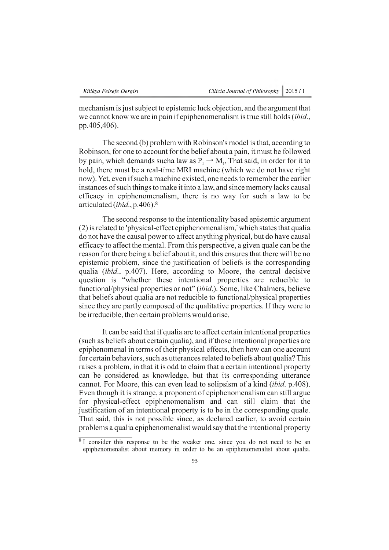mechanism is just subject to epistemic luck objection, and the argument that we cannot know we are in pain if epiphenomenalism is true still holds *(ibid.,* pp.405,406).

The second (b) problem with Robinson's model is that, according to Robinson, for one to account for the belief about a pain, it must be followed by pain, which demands such alaw as  $P_1 \rightarrow M_1$ . That said, in order for it to hold, there must be a real-time MRI machine (which we do not have right now). Yet, even if such a machine existed, one needs to remember the earlier instances of such things to make it into a law, and since memory lacks causal efficacy in epiphenomenalism, there is no way for such a law to be articulated *(ibid.,* p.406).8

The second response to the intentionality based epistemic argument (2) is related to 'physical-effect epiphenomenalism,' which states that qualia do not have the causal power to affect anything physical, but do have causal efficacy to affect the mental. From this perspective, a given quale can be the reason for there being a belief about it, and this ensures that there will be no epistemic problem, since the justification of beliefs is the corresponding qualia *(ibid.,* p.407). Here, according to Moore, the central decisive question is "whether these intentional properties are reducible to functional/physical properties or not" (ibid.). Some, like Chalmers, believe that beliefs about qualia are not reducible to functional/physical properties since they are partly composed of the qualitative properties. If they were to be irreducible, then certain problems would arise.

It can be said that if qualia are to affect certain intentional properties (such as beliefs about certain qualia), and if those intentional properties are epiphenomenal in terms of their physical effects, then how can one account for certain behaviors, such as utterances related to beliefs about qualia? This raises a problem, in that it is odd to claim that a certain intentional property can be considered as knowledge, but that its corresponding utterance cannot. For Moore, this can even lead to solipsism of a kind *(ibid.* p.408). Even though it is strange, a proponent of epiphenomenalism can still argue for physical-effect epiphenomenalism and can still claim that the justification of an intentional property is to be in the corresponding quale. That said, this is not possible since, as declared earlier, to avoid certain problems a qualia epiphenomenalist would say that the intentional property 8

 $\sqrt[8]{8}$  I consider this response to be the weaker one, since you do not need to be an epiphenomenalist about memory in order to be an epiphenomenalist about qualia.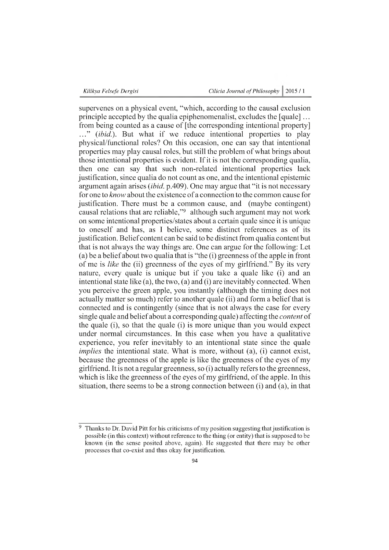supervenes on a physical event, "which, according to the causal exclusion principle accepted by the qualia epiphenomenalist, excludes the [quale] ... from being counted as a cause of [the corresponding intentional property] ..." (*ibid*). But what if we reduce intentional properties to play physical/functional roles? On this occasion, one can say that intentional properties may play causal roles, but still the problem of what brings about those intentional properties is evident. If it is not the corresponding qualia, then one can say that such non-related intentional properties lack justification, since qualia do not count as one, and the intentional epistemic argument again arises *(ibid.* p.409). One may argue that "it is not necessary for one to *know* about the existence of a connection to the common cause for justification. There must be a common cause, and (maybe contingent) causal relations that are reliable,"9 although such argument may not work on some intentional properties/states about a certain quale since it is unique to oneself and has, as I believe, some distinct references as of its justification. Belief content can be said to be distinct from qualia content but that is not always the way things are. One can argue for the following: Let (a) be a belief about two qualia that is "the (i) greenness of the apple in front of me is *like* the (ii) greenness of the eyes of my girlfriend." By its very nature, every quale is unique but if you take a quale like (i) and an intentional state like (a), the two, (a) and (i) are inevitably connected. When you perceive the green apple, you instantly (although the timing does not actually matter so much) refer to another quale (ii) and form a belief that is connected and is contingently (since that is not always the case for every single quale and belief about a corresponding quale) affecting the *content* of the quale (i), so that the quale (i) is more unique than you would expect under normal circumstances. In this case when you have a qualitative experience, you refer inevitably to an intentional state since the quale *implies* the intentional state. What is more, without (a), (i) cannot exist, because the greenness of the apple is like the greenness of the eyes of my girlfriend. It is not a regular greenness, so (i) actually refers to the greenness, which is like the greenness of the eyes of my girlfriend, of the apple. In this situation, there seems to be a strong connection between (i) and (a), in that

<sup>9</sup> Thanks to Dr. David Pitt for his criticisms of my position suggesting that justification is possible (in this context) without reference to the thing (or entity) that is supposed to be known (in the sense posited above, again). He suggested that there may be other processes that co-exist and thus okay for justification.